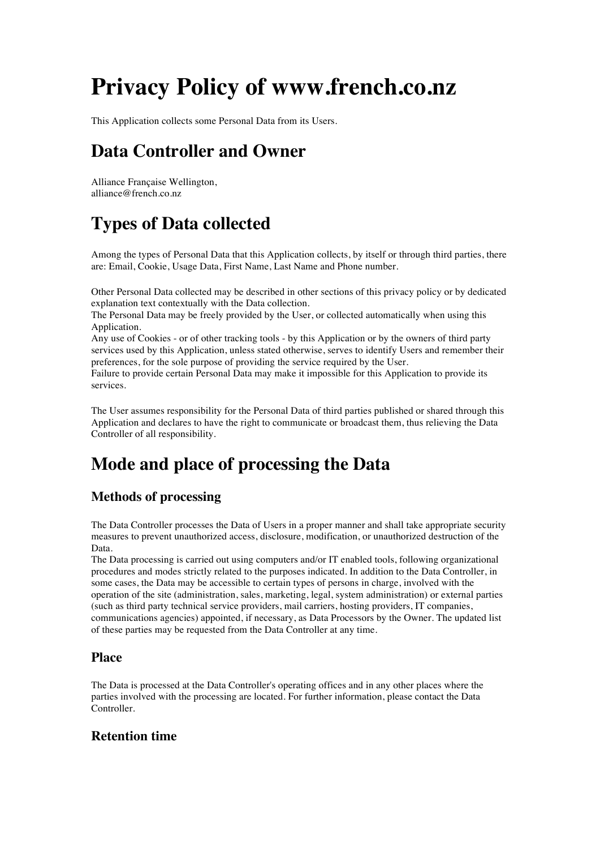# **Privacy Policy of www.french.co.nz**

This Application collects some Personal Data from its Users.

# **Data Controller and Owner**

Alliance Française Wellington, alliance@french.co.nz

# **Types of Data collected**

Among the types of Personal Data that this Application collects, by itself or through third parties, there are: Email, Cookie, Usage Data, First Name, Last Name and Phone number.

Other Personal Data collected may be described in other sections of this privacy policy or by dedicated explanation text contextually with the Data collection.

The Personal Data may be freely provided by the User, or collected automatically when using this Application.

Any use of Cookies - or of other tracking tools - by this Application or by the owners of third party services used by this Application, unless stated otherwise, serves to identify Users and remember their preferences, for the sole purpose of providing the service required by the User.

Failure to provide certain Personal Data may make it impossible for this Application to provide its services.

The User assumes responsibility for the Personal Data of third parties published or shared through this Application and declares to have the right to communicate or broadcast them, thus relieving the Data Controller of all responsibility.

# **Mode and place of processing the Data**

# **Methods of processing**

The Data Controller processes the Data of Users in a proper manner and shall take appropriate security measures to prevent unauthorized access, disclosure, modification, or unauthorized destruction of the Data.

The Data processing is carried out using computers and/or IT enabled tools, following organizational procedures and modes strictly related to the purposes indicated. In addition to the Data Controller, in some cases, the Data may be accessible to certain types of persons in charge, involved with the operation of the site (administration, sales, marketing, legal, system administration) or external parties (such as third party technical service providers, mail carriers, hosting providers, IT companies, communications agencies) appointed, if necessary, as Data Processors by the Owner. The updated list of these parties may be requested from the Data Controller at any time.

# **Place**

The Data is processed at the Data Controller's operating offices and in any other places where the parties involved with the processing are located. For further information, please contact the Data Controller.

# **Retention time**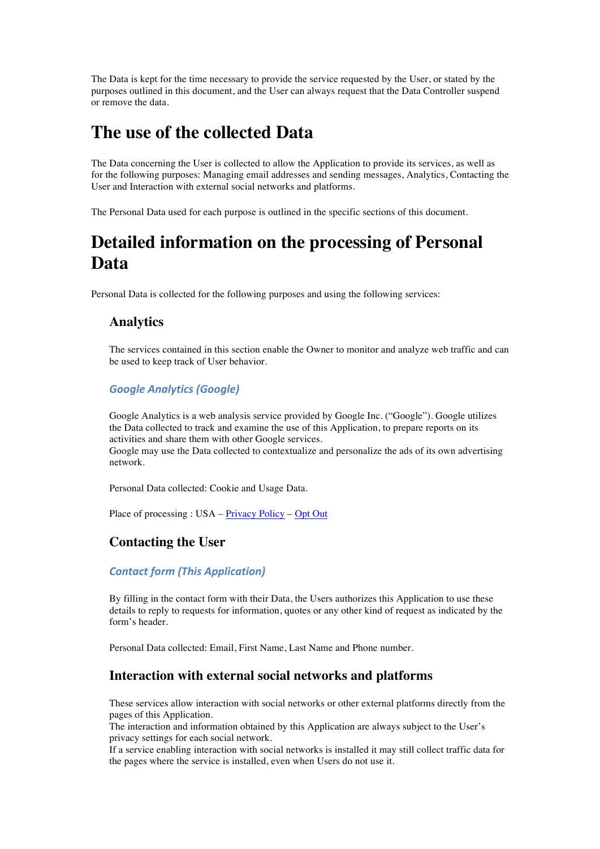The Data is kept for the time necessary to provide the service requested by the User, or stated by the purposes outlined in this document, and the User can always request that the Data Controller suspend or remove the data.

# **The use of the collected Data**

The Data concerning the User is collected to allow the Application to provide its services, as well as for the following purposes: Managing email addresses and sending messages, Analytics, Contacting the User and Interaction with external social networks and platforms.

The Personal Data used for each purpose is outlined in the specific sections of this document.

# **Detailed information on the processing of Personal Data**

Personal Data is collected for the following purposes and using the following services:

# **Analytics**

The services contained in this section enable the Owner to monitor and analyze web traffic and can be used to keep track of User behavior.

#### *Google Analytics (Google)*

Google Analytics is a web analysis service provided by Google Inc. ("Google"). Google utilizes the Data collected to track and examine the use of this Application, to prepare reports on its activities and share them with other Google services.

Google may use the Data collected to contextualize and personalize the ads of its own advertising network.

Personal Data collected: Cookie and Usage Data.

Place of processing : USA – Privacy Policy – Opt Out

# **Contacting the User**

#### *Contact form (This Application)*

By filling in the contact form with their Data, the Users authorizes this Application to use these details to reply to requests for information, quotes or any other kind of request as indicated by the form's header.

Personal Data collected: Email, First Name, Last Name and Phone number.

# **Interaction with external social networks and platforms**

These services allow interaction with social networks or other external platforms directly from the pages of this Application.

The interaction and information obtained by this Application are always subject to the User's privacy settings for each social network.

If a service enabling interaction with social networks is installed it may still collect traffic data for the pages where the service is installed, even when Users do not use it.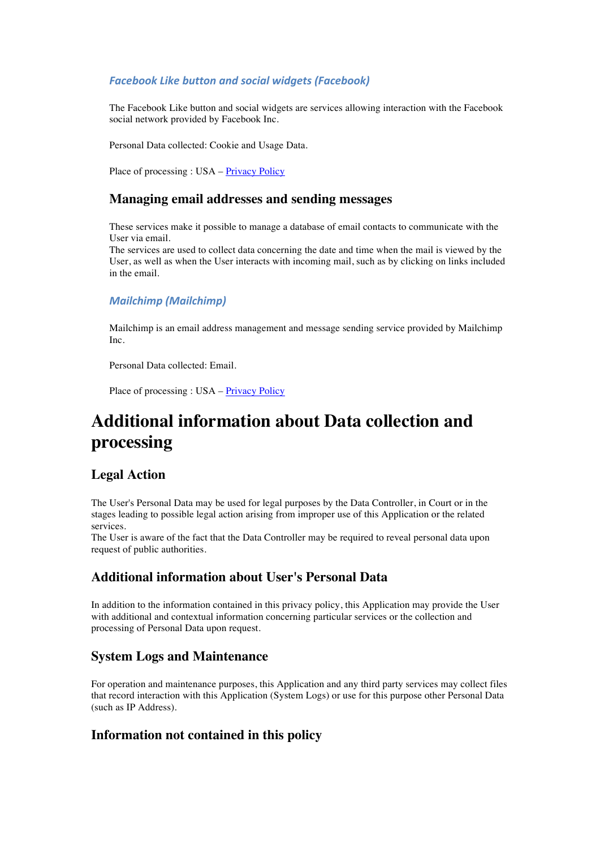#### **Facebook Like button and social widgets (Facebook)**

The Facebook Like button and social widgets are services allowing interaction with the Facebook social network provided by Facebook Inc.

Personal Data collected: Cookie and Usage Data.

Place of processing : USA – Privacy Policy

### **Managing email addresses and sending messages**

These services make it possible to manage a database of email contacts to communicate with the User via email.

The services are used to collect data concerning the date and time when the mail is viewed by the User, as well as when the User interacts with incoming mail, such as by clicking on links included in the email.

#### *Mailchimp (Mailchimp)*

Mailchimp is an email address management and message sending service provided by Mailchimp Inc.

Personal Data collected: Email.

Place of processing : USA – Privacy Policy

# **Additional information about Data collection and processing**

# **Legal Action**

The User's Personal Data may be used for legal purposes by the Data Controller, in Court or in the stages leading to possible legal action arising from improper use of this Application or the related services.

The User is aware of the fact that the Data Controller may be required to reveal personal data upon request of public authorities.

# **Additional information about User's Personal Data**

In addition to the information contained in this privacy policy, this Application may provide the User with additional and contextual information concerning particular services or the collection and processing of Personal Data upon request.

# **System Logs and Maintenance**

For operation and maintenance purposes, this Application and any third party services may collect files that record interaction with this Application (System Logs) or use for this purpose other Personal Data (such as IP Address).

# **Information not contained in this policy**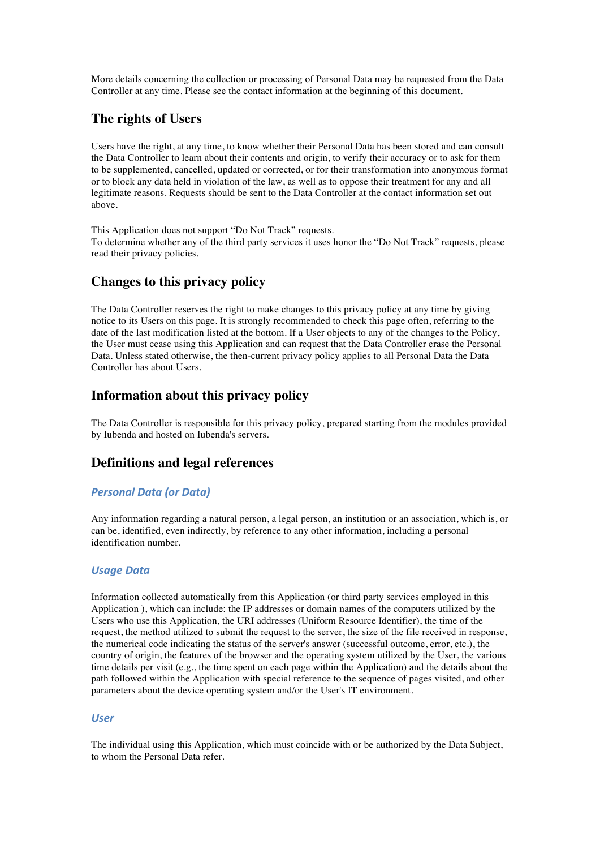More details concerning the collection or processing of Personal Data may be requested from the Data Controller at any time. Please see the contact information at the beginning of this document.

### **The rights of Users**

Users have the right, at any time, to know whether their Personal Data has been stored and can consult the Data Controller to learn about their contents and origin, to verify their accuracy or to ask for them to be supplemented, cancelled, updated or corrected, or for their transformation into anonymous format or to block any data held in violation of the law, as well as to oppose their treatment for any and all legitimate reasons. Requests should be sent to the Data Controller at the contact information set out above.

This Application does not support "Do Not Track" requests. To determine whether any of the third party services it uses honor the "Do Not Track" requests, please read their privacy policies.

# **Changes to this privacy policy**

The Data Controller reserves the right to make changes to this privacy policy at any time by giving notice to its Users on this page. It is strongly recommended to check this page often, referring to the date of the last modification listed at the bottom. If a User objects to any of the changes to the Policy, the User must cease using this Application and can request that the Data Controller erase the Personal Data. Unless stated otherwise, the then-current privacy policy applies to all Personal Data the Data Controller has about Users.

### **Information about this privacy policy**

The Data Controller is responsible for this privacy policy, prepared starting from the modules provided by Iubenda and hosted on Iubenda's servers.

#### **Definitions and legal references**

#### *Personal Data (or Data)*

Any information regarding a natural person, a legal person, an institution or an association, which is, or can be, identified, even indirectly, by reference to any other information, including a personal identification number.

#### *Usage Data*

Information collected automatically from this Application (or third party services employed in this Application ), which can include: the IP addresses or domain names of the computers utilized by the Users who use this Application, the URI addresses (Uniform Resource Identifier), the time of the request, the method utilized to submit the request to the server, the size of the file received in response, the numerical code indicating the status of the server's answer (successful outcome, error, etc.), the country of origin, the features of the browser and the operating system utilized by the User, the various time details per visit (e.g., the time spent on each page within the Application) and the details about the path followed within the Application with special reference to the sequence of pages visited, and other parameters about the device operating system and/or the User's IT environment.

#### *User*

The individual using this Application, which must coincide with or be authorized by the Data Subject, to whom the Personal Data refer.